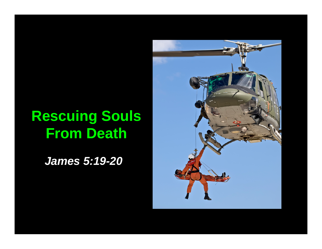# **Rescuing Souls From Death**

*James 5:19-20*

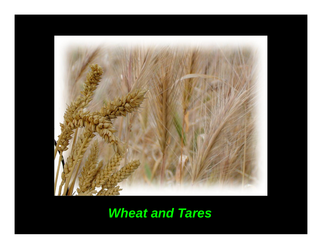

# *Wheat and Tares*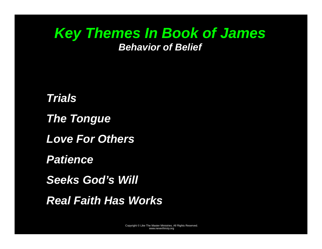## *Key Themes In Book of James Behavior of Belief*

*Trials The Tongue Love For Others Patience Seeks God's Will Real Faith Has Works*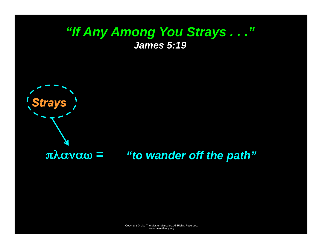## *"If Any Among You Strays . . ." James 5:19*



## πλαναω *<sup>=</sup>"to wander off the path"*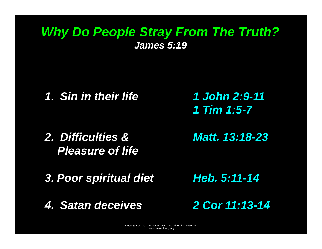## *Why Do People Stray From The Truth? James 5:19*

*1. Sin in their life* 

*1 John 2:9-11 1 Tim 1:5-7* 

*2. Difficulties & Pleasure of life* 

*Matt. 13:18-23* 

*3. Poor spiritual diet* 

*4. Satan deceives* 

*Heb. 5:11-14* 

*2 Cor 11:13-14*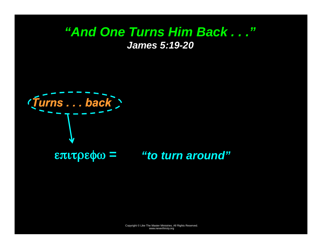## *"And One Turns Him Back . . ." James 5:19-20*

*Turns . . . back* 

## επιτρεφω *<sup>=</sup>"to turn around"*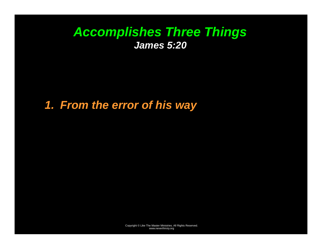## *Accomplishes Three Things James 5:20*

*1. From the error of his way*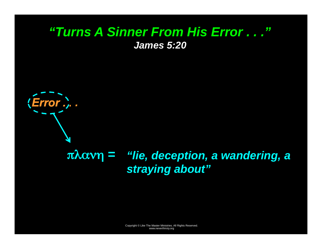## *"Turns A Sinner From His Error . . ." James 5:20*

*Error . . .* 

## *"lie, deception, a wandering, a*  πλανη *<sup>=</sup> straying about"*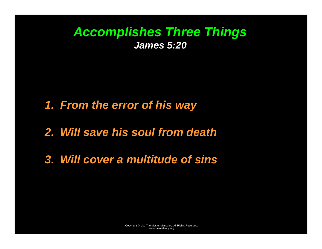## *Accomplishes Three Things James 5:20*

*1. From the error of his way* 

*2. Will save his soul from death* 

*3. Will cover a multitude of sins*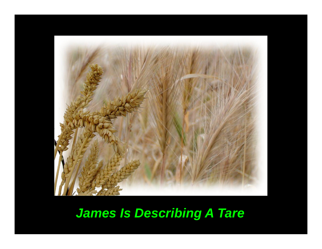

# *James Is Describing A Tare*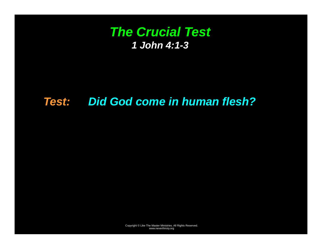## *The Crucial Test 1 John 4:1-3*

#### *Test: Did God come in human flesh?*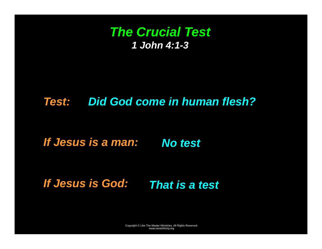## *The Crucial Test 1 John 4:1-3*

## *Test: Did God come in human flesh?*

*If Jesus is a man: No test* 

*If Jesus is God: That is a test*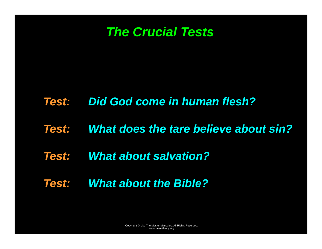

#### *Test: Did God come in human flesh?*

*Test: What does the tare believe about sin?* 

## *Test: What about salvation?*

*Test: What about the Bible?*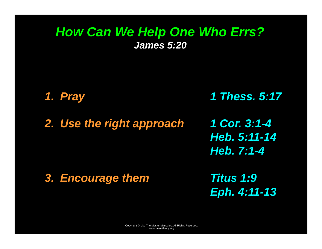## *How Can We Help One Who Errs? James 5:20*

*1. Pray 1 Thess. 5:17* 

*2. Use the right approach 1 Cor. 3:1-4 Heb. 5:11-14 Heb. 7:1-4* 

*3. Encourage them* 

*Titus 1:9 Eph. 4:11-13*